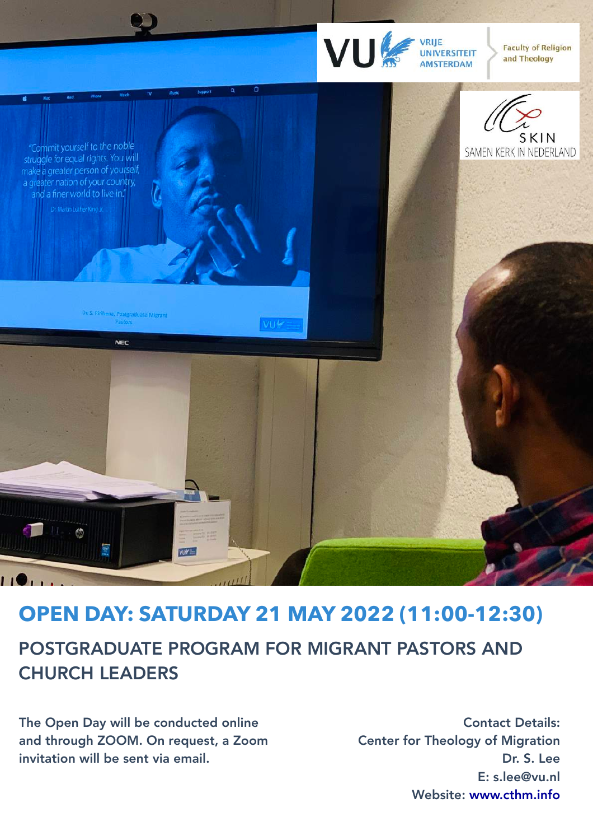

**Faculty of Religion** and Theology



"Commit yourself to the noble struggle for equal rights. You will make a greater person of yourself, a greater nation of your country, and a finer world to live in."

na, Postgraduate Migrant

**NEC** 

## POSTGRADUATE PROGRAM FOR MIGRANT PASTORS AND **OPEN DAY: SATURDAY 21 MAY 2022 (11:00-12:30)**

 $\overline{\text{V11}k}$ 

## CHURCH LEADERS

 $\circledcirc$ 

 $\overline{11}$ 

The Open Day will be conducted online and through ZOOM. On request, a Zoom invitation will be sent via email.

**WIFE** 

Contact Details: Center for Theology of Migration Dr. S. Lee E: s.lee@vu.nl Website: [www.cthm.info](http://www.cthm.info)